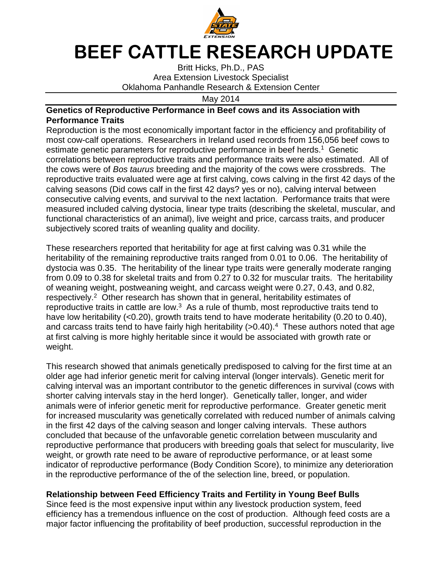

## **BEEF CATTLE RESEARCH UPDATE**

Britt Hicks, Ph.D., PAS Area Extension Livestock Specialist Oklahoma Panhandle Research & Extension Center

May 2014

## **Genetics of Reproductive Performance in Beef cows and its Association with Performance Traits**

Reproduction is the most economically important factor in the efficiency and profitability of most cow-calf operations. Researchers in Ireland used records from 156,056 beef cows to estimate genetic parameters for reproductive performance in beef herds.<sup>1</sup> Genetic correlations between reproductive traits and performance traits were also estimated. All of the cows were of Bos taurus breeding and the majority of the cows were crossbreds. The reproductive traits evaluated were age at first calving, cows calving in the first 42 days of the calving seasons (Did cows calf in the first 42 days? yes or no), calving interval between consecutive calving events, and survival to the next lactation. Performance traits that were measured included calving dystocia, linear type traits (describing the skeletal, muscular, and functional characteristics of an animal), live weight and price, carcass traits, and producer subjectively scored traits of weanling quality and docility.

These researchers reported that heritability for age at first calving was 0.31 while the heritability of the remaining reproductive traits ranged from 0.01 to 0.06. The heritability of dystocia was 0.35. The heritability of the linear type traits were generally moderate ranging from 0.09 to 0.38 for skeletal traits and from 0.27 to 0.32 for muscular traits. The heritability of weaning weight, postweaning weight, and carcass weight were 0.27, 0.43, and 0.82, respectively.<sup>2</sup> Other research has shown that in general, heritability estimates of reproductive traits in cattle are low. $3$  As a rule of thumb, most reproductive traits tend to have low heritability (<0.20), growth traits tend to have moderate heritability (0.20 to 0.40), and carcass traits tend to have fairly high heritability (>0.40).<sup>4</sup> These authors noted that age at first calving is more highly heritable since it would be associated with growth rate or weight.

This research showed that animals genetically predisposed to calving for the first time at an older age had inferior genetic merit for calving interval (longer intervals). Genetic merit for calving interval was an important contributor to the genetic differences in survival (cows with shorter calving intervals stay in the herd longer). Genetically taller, longer, and wider animals were of inferior genetic merit for reproductive performance. Greater genetic merit for increased muscularity was genetically correlated with reduced number of animals calving in the first 42 days of the calving season and longer calving intervals. These authors concluded that because of the unfavorable genetic correlation between muscularity and reproductive performance that producers with breeding goals that select for muscularity, live weight, or growth rate need to be aware of reproductive performance, or at least some indicator of reproductive performance (Body Condition Score), to minimize any deterioration in the reproductive performance of the of the selection line, breed, or population.

## **Relationship between Feed Efficiency Traits and Fertility in Young Beef Bulls**

Since feed is the most expensive input within any livestock production system, feed efficiency has a tremendous influence on the cost of production. Although feed costs are a major factor influencing the profitability of beef production, successful reproduction in the